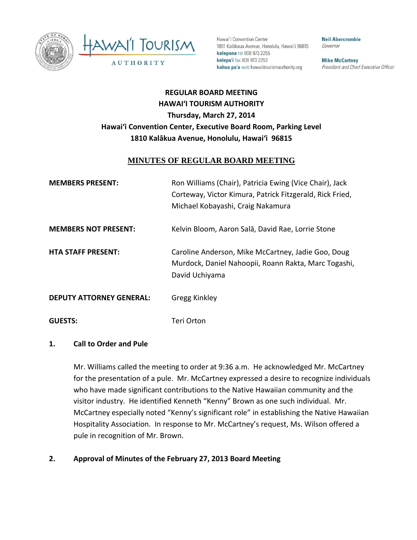



Hawai'i Convention Center 1801 Kalākaua Avenue, Honolulu, Hawai'i 96815 kelepona tel 808 973 2255 kelepa'i fax 808 973 2253 kahua pa'a web hawaiitourismauthority.org

**Neil Abercrombie** Governor

**Mike McCartney** President and Chief Executive Officer

# **REGULAR BOARD MEETING HAWAI'I TOURISM AUTHORITY Thursday, March 27, 2014 Hawai'i Convention Center, Executive Board Room, Parking Level 1810 Kalākua Avenue, Honolulu, Hawai'i 96815**

## **MINUTES OF REGULAR BOARD MEETING**

| <b>MEMBERS PRESENT:</b>         | Ron Williams (Chair), Patricia Ewing (Vice Chair), Jack<br>Corteway, Victor Kimura, Patrick Fitzgerald, Rick Fried,<br>Michael Kobayashi, Craig Nakamura |
|---------------------------------|----------------------------------------------------------------------------------------------------------------------------------------------------------|
| <b>MEMBERS NOT PRESENT:</b>     | Kelvin Bloom, Aaron Salā, David Rae, Lorrie Stone                                                                                                        |
| <b>HTA STAFF PRESENT:</b>       | Caroline Anderson, Mike McCartney, Jadie Goo, Doug<br>Murdock, Daniel Nahoopii, Roann Rakta, Marc Togashi,<br>David Uchiyama                             |
| <b>DEPUTY ATTORNEY GENERAL:</b> | <b>Gregg Kinkley</b>                                                                                                                                     |
| <b>GUESTS:</b>                  | Teri Orton                                                                                                                                               |

#### **1. Call to Order and Pule**

Mr. Williams called the meeting to order at 9:36 a.m. He acknowledged Mr. McCartney for the presentation of a pule. Mr. McCartney expressed a desire to recognize individuals who have made significant contributions to the Native Hawaiian community and the visitor industry. He identified Kenneth "Kenny" Brown as one such individual. Mr. McCartney especially noted "Kenny's significant role" in establishing the Native Hawaiian Hospitality Association. In response to Mr. McCartney's request, Ms. Wilson offered a pule in recognition of Mr. Brown.

#### **2. Approval of Minutes of the February 27, 2013 Board Meeting**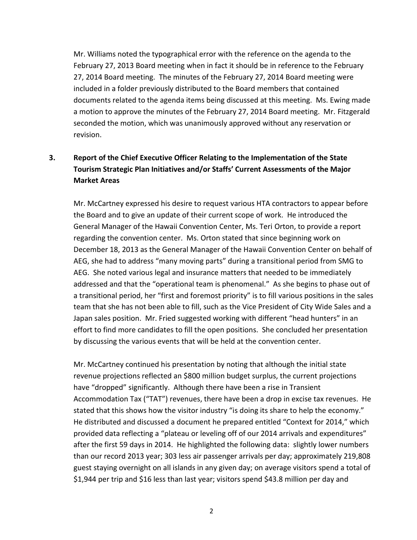Mr. Williams noted the typographical error with the reference on the agenda to the February 27, 2013 Board meeting when in fact it should be in reference to the February 27, 2014 Board meeting. The minutes of the February 27, 2014 Board meeting were included in a folder previously distributed to the Board members that contained documents related to the agenda items being discussed at this meeting. Ms. Ewing made a motion to approve the minutes of the February 27, 2014 Board meeting. Mr. Fitzgerald seconded the motion, which was unanimously approved without any reservation or revision.

# **3. Report of the Chief Executive Officer Relating to the Implementation of the State Tourism Strategic Plan Initiatives and/or Staffs' Current Assessments of the Major Market Areas**

Mr. McCartney expressed his desire to request various HTA contractors to appear before the Board and to give an update of their current scope of work. He introduced the General Manager of the Hawaii Convention Center, Ms. Teri Orton, to provide a report regarding the convention center. Ms. Orton stated that since beginning work on December 18, 2013 as the General Manager of the Hawaii Convention Center on behalf of AEG, she had to address "many moving parts" during a transitional period from SMG to AEG. She noted various legal and insurance matters that needed to be immediately addressed and that the "operational team is phenomenal." As she begins to phase out of a transitional period, her "first and foremost priority" is to fill various positions in the sales team that she has not been able to fill, such as the Vice President of City Wide Sales and a Japan sales position. Mr. Fried suggested working with different "head hunters" in an effort to find more candidates to fill the open positions. She concluded her presentation by discussing the various events that will be held at the convention center.

Mr. McCartney continued his presentation by noting that although the initial state revenue projections reflected an \$800 million budget surplus, the current projections have "dropped" significantly. Although there have been a rise in Transient Accommodation Tax ("TAT") revenues, there have been a drop in excise tax revenues. He stated that this shows how the visitor industry "is doing its share to help the economy." He distributed and discussed a document he prepared entitled "Context for 2014," which provided data reflecting a "plateau or leveling off of our 2014 arrivals and expenditures" after the first 59 days in 2014. He highlighted the following data: slightly lower numbers than our record 2013 year; 303 less air passenger arrivals per day; approximately 219,808 guest staying overnight on all islands in any given day; on average visitors spend a total of \$1,944 per trip and \$16 less than last year; visitors spend \$43.8 million per day and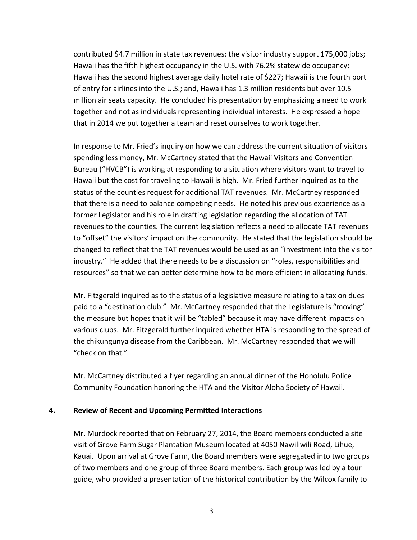contributed \$4.7 million in state tax revenues; the visitor industry support 175,000 jobs; Hawaii has the fifth highest occupancy in the U.S. with 76.2% statewide occupancy; Hawaii has the second highest average daily hotel rate of \$227; Hawaii is the fourth port of entry for airlines into the U.S.; and, Hawaii has 1.3 million residents but over 10.5 million air seats capacity. He concluded his presentation by emphasizing a need to work together and not as individuals representing individual interests. He expressed a hope that in 2014 we put together a team and reset ourselves to work together.

In response to Mr. Fried's inquiry on how we can address the current situation of visitors spending less money, Mr. McCartney stated that the Hawaii Visitors and Convention Bureau ("HVCB") is working at responding to a situation where visitors want to travel to Hawaii but the cost for traveling to Hawaii is high. Mr. Fried further inquired as to the status of the counties request for additional TAT revenues. Mr. McCartney responded that there is a need to balance competing needs. He noted his previous experience as a former Legislator and his role in drafting legislation regarding the allocation of TAT revenues to the counties. The current legislation reflects a need to allocate TAT revenues to "offset" the visitors' impact on the community. He stated that the legislation should be changed to reflect that the TAT revenues would be used as an "investment into the visitor industry." He added that there needs to be a discussion on "roles, responsibilities and resources" so that we can better determine how to be more efficient in allocating funds.

Mr. Fitzgerald inquired as to the status of a legislative measure relating to a tax on dues paid to a "destination club." Mr. McCartney responded that the Legislature is "moving" the measure but hopes that it will be "tabled" because it may have different impacts on various clubs. Mr. Fitzgerald further inquired whether HTA is responding to the spread of the chikungunya disease from the Caribbean. Mr. McCartney responded that we will "check on that."

Mr. McCartney distributed a flyer regarding an annual dinner of the Honolulu Police Community Foundation honoring the HTA and the Visitor Aloha Society of Hawaii.

#### **4. Review of Recent and Upcoming Permitted Interactions**

Mr. Murdock reported that on February 27, 2014, the Board members conducted a site visit of Grove Farm Sugar Plantation Museum located at 4050 Nawiliwili Road, Lihue, Kauai. Upon arrival at Grove Farm, the Board members were segregated into two groups of two members and one group of three Board members. Each group was led by a tour guide, who provided a presentation of the historical contribution by the Wilcox family to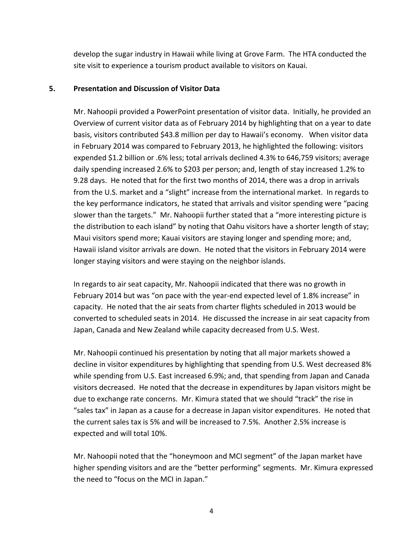develop the sugar industry in Hawaii while living at Grove Farm. The HTA conducted the site visit to experience a tourism product available to visitors on Kauai.

#### **5. Presentation and Discussion of Visitor Data**

Mr. Nahoopii provided a PowerPoint presentation of visitor data. Initially, he provided an Overview of current visitor data as of February 2014 by highlighting that on a year to date basis, visitors contributed \$43.8 million per day to Hawaii's economy. When visitor data in February 2014 was compared to February 2013, he highlighted the following: visitors expended \$1.2 billion or .6% less; total arrivals declined 4.3% to 646,759 visitors; average daily spending increased 2.6% to \$203 per person; and, length of stay increased 1.2% to 9.28 days. He noted that for the first two months of 2014, there was a drop in arrivals from the U.S. market and a "slight" increase from the international market. In regards to the key performance indicators, he stated that arrivals and visitor spending were "pacing slower than the targets." Mr. Nahoopii further stated that a "more interesting picture is the distribution to each island" by noting that Oahu visitors have a shorter length of stay; Maui visitors spend more; Kauai visitors are staying longer and spending more; and, Hawaii island visitor arrivals are down. He noted that the visitors in February 2014 were longer staying visitors and were staying on the neighbor islands.

In regards to air seat capacity, Mr. Nahoopii indicated that there was no growth in February 2014 but was "on pace with the year-end expected level of 1.8% increase" in capacity. He noted that the air seats from charter flights scheduled in 2013 would be converted to scheduled seats in 2014. He discussed the increase in air seat capacity from Japan, Canada and New Zealand while capacity decreased from U.S. West.

Mr. Nahoopii continued his presentation by noting that all major markets showed a decline in visitor expenditures by highlighting that spending from U.S. West decreased 8% while spending from U.S. East increased 6.9%; and, that spending from Japan and Canada visitors decreased. He noted that the decrease in expenditures by Japan visitors might be due to exchange rate concerns. Mr. Kimura stated that we should "track" the rise in "sales tax" in Japan as a cause for a decrease in Japan visitor expenditures. He noted that the current sales tax is 5% and will be increased to 7.5%. Another 2.5% increase is expected and will total 10%.

Mr. Nahoopii noted that the "honeymoon and MCI segment" of the Japan market have higher spending visitors and are the "better performing" segments. Mr. Kimura expressed the need to "focus on the MCI in Japan."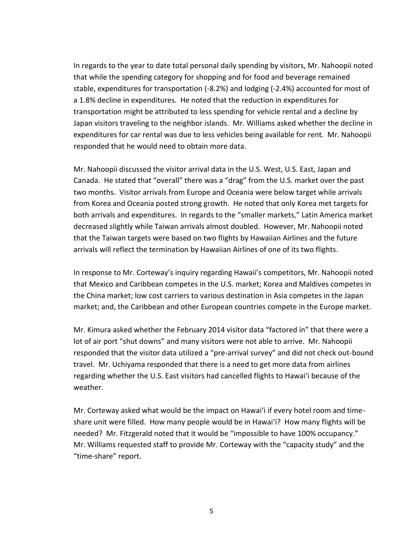In regards to the year to date total personal daily spending by visitors, Mr. Nahoopii noted that while the spending category for shopping and for food and beverage remained stable, expenditures for transportation (-8.2%) and lodging (-2.4%) accounted for most of a 1.8% decline in expenditures. He noted that the reduction in expenditures for transportation might be attributed to less spending for vehicle rental and a decline by Japan visitors traveling to the neighbor islands. Mr. Williams asked whether the decline in expenditures for car rental was due to less vehicles being available for rent. Mr. Nahoopii responded that he would need to obtain more data.

Mr. Nahoopii discussed the visitor arrival data in the U.S. West, U.S. East, Japan and Canada. He stated that "overall" there was a "drag" from the U.S. market over the past two months. Visitor arrivals from Europe and Oceania were below target while arrivals from Korea and Oceania posted strong growth. He noted that only Korea met targets for both arrivals and expenditures. In regards to the "smaller markets," Latin America market decreased slightly while Taiwan arrivals almost doubled. However, Mr. Nahoopii noted that the Taiwan targets were based on two flights by Hawaiian Airlines and the future arrivals will reflect the termination by Hawaiian Airlines of one of its two flights.

In response to Mr. Corteway's inquiry regarding Hawaii's competitors, Mr. Nahoopii noted that Mexico and Caribbean competes in the U.S. market; Korea and Maldives competes in the China market; low cost carriers to various destination in Asia competes in the Japan market; and, the Caribbean and other European countries compete in the Europe market.

Mr. Kimura asked whether the February 2014 visitor data "factored in" that there were a lot of air port "shut downs" and many visitors were not able to arrive. Mr. Nahoopii responded that the visitor data utilized a "pre-arrival survey" and did not check out-bound travel. Mr. Uchiyama responded that there is a need to get more data from airlines regarding whether the U.S. East visitors had cancelled flights to Hawai'i because of the weather.

Mr. Corteway asked what would be the impact on Hawai'i if every hotel room and timeshare unit were filled. How many people would be in Hawai'i? How many flights will be needed? Mr. Fitzgerald noted that it would be "impossible to have 100% occupancy." Mr. Williams requested staff to provide Mr. Corteway with the "capacity study" and the "time-share" report.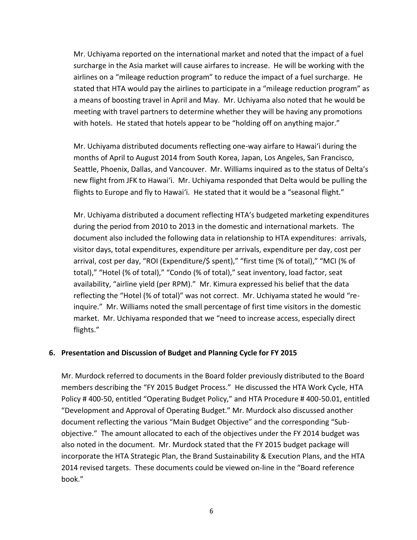Mr. Uchiyama reported on the international market and noted that the impact of a fuel surcharge in the Asia market will cause airfares to increase. He will be working with the airlines on a "mileage reduction program" to reduce the impact of a fuel surcharge. He stated that HTA would pay the airlines to participate in a "mileage reduction program" as a means of boosting travel in April and May. Mr. Uchiyama also noted that he would be meeting with travel partners to determine whether they will be having any promotions with hotels. He stated that hotels appear to be "holding off on anything major."

Mr. Uchiyama distributed documents reflecting one-way airfare to Hawai'i during the months of April to August 2014 from South Korea, Japan, Los Angeles, San Francisco, Seattle, Phoenix, Dallas, and Vancouver. Mr. Williams inquired as to the status of Delta's new flight from JFK to Hawai'i. Mr. Uchiyama responded that Delta would be pulling the flights to Europe and fly to Hawai'i. He stated that it would be a "seasonal flight."

Mr. Uchiyama distributed a document reflecting HTA's budgeted marketing expenditures during the period from 2010 to 2013 in the domestic and international markets. The document also included the following data in relationship to HTA expenditures: arrivals, visitor days, total expenditures, expenditure per arrivals, expenditure per day, cost per arrival, cost per day, "ROI (Expenditure/\$ spent)," "first time (% of total)," "MCI (% of total)," "Hotel (% of total)," "Condo (% of total)," seat inventory, load factor, seat availability, "airline yield (per RPM)." Mr. Kimura expressed his belief that the data reflecting the "Hotel (% of total)" was not correct. Mr. Uchiyama stated he would "reinquire." Mr. Williams noted the small percentage of first time visitors in the domestic market. Mr. Uchiyama responded that we "need to increase access, especially direct flights."

## **6. Presentation and Discussion of Budget and Planning Cycle for FY 2015**

Mr. Murdock referred to documents in the Board folder previously distributed to the Board members describing the "FY 2015 Budget Process." He discussed the HTA Work Cycle, HTA Policy # 400-50, entitled "Operating Budget Policy," and HTA Procedure # 400-50.01, entitled "Development and Approval of Operating Budget." Mr. Murdock also discussed another document reflecting the various "Main Budget Objective" and the corresponding "Subobjective." The amount allocated to each of the objectives under the FY 2014 budget was also noted in the document. Mr. Murdock stated that the FY 2015 budget package will incorporate the HTA Strategic Plan, the Brand Sustainability & Execution Plans, and the HTA 2014 revised targets. These documents could be viewed on-line in the "Board reference book."